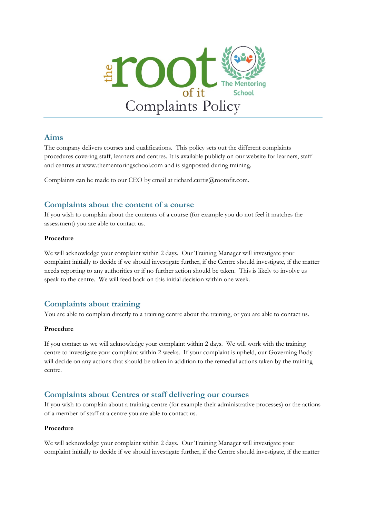

### **Aims**

The company delivers courses and qualifications. This policy sets out the different complaints procedures covering staff, learners and centres. It is available publicly on our website for learners, staff and centres at www.thementoringschool.com and is signposted during training.

Complaints can be made to our CEO by email at richard.curtis $@$ rootofit.com.

## **Complaints about the content of a course**

If you wish to complain about the contents of a course (for example you do not feel it matches the assessment) you are able to contact us.

#### **Procedure**

We will acknowledge your complaint within 2 days. Our Training Manager will investigate your complaint initially to decide if we should investigate further, if the Centre should investigate, if the matter needs reporting to any authorities or if no further action should be taken. This is likely to involve us speak to the centre. We will feed back on this initial decision within one week.

# **Complaints about training**

You are able to complain directly to a training centre about the training, or you are able to contact us.

#### **Procedure**

If you contact us we will acknowledge your complaint within 2 days. We will work with the training centre to investigate your complaint within 2 weeks. If your complaint is upheld, our Governing Body will decide on any actions that should be taken in addition to the remedial actions taken by the training centre.

## **Complaints about Centres or staff delivering our courses**

If you wish to complain about a training centre (for example their administrative processes) or the actions of a member of staff at a centre you are able to contact us.

#### **Procedure**

We will acknowledge your complaint within 2 days. Our Training Manager will investigate your complaint initially to decide if we should investigate further, if the Centre should investigate, if the matter